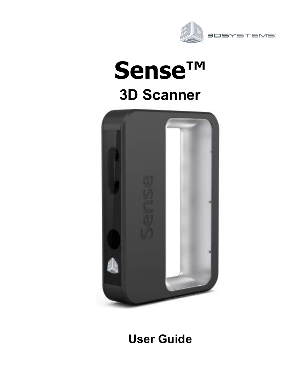

# **Sense™ 3D Scanner**



## **User Guide**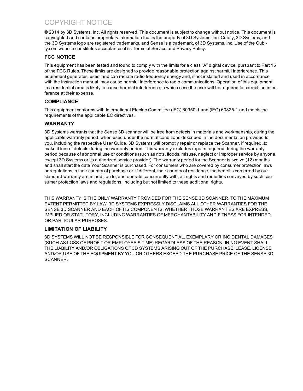## COPYRIGHT NOTICE

© 2014 by 3D Systems, Inc. All rights reserved. This document is subject to change without notice. This document is copyrighted and contains proprietary information that is the property of 3D Systems, Inc. Cubify, 3D Systems, and the 3D Systems logo are registered trademarks, and Sense is a trademark, of 3D Systems, Inc. Use of the Cubify.com website constitutes acceptance of its Terms of Service and Privacy Policy.

#### **FCC NOTICE**

This equipment has been tested and found to comply with the limits for a class "A" digital device, pursuant to Part 15 of the FCC Rules. These limits are designed to provide reasonable protection against harmful interference. This equipment generates, uses, and can radiate radio frequency energy and, if not installed and used in accordance with the instruction manual, may cause harmful interference to radio communications. Operation of this equipment in a residential area is likely to cause harmful interference in which case the user will be required to correct the interference at their expense.

#### **COMPLIANCE**

This equipment conforms with International Electric Committee (IEC) 60950-1 and (IEC) 60825-1 and meets the requirements of the applicable EC directives.

#### **WARRANTY**

3D Systems warrants that the Sense 3D scanner will be free from defects in materials and workmanship, during the applicable warranty period, when used under the normal conditions described in the documentation provided to you, including the respective User Guide. 3D Systems will promptly repair or replace the Scanner, if required, to make it free of defects during the warranty period. This warranty excludes repairs required during the warranty period because of abnormal use or conditions (such as riots, floods, misuse, neglect or improper service by anyone except 3D Systems or its authorized service provider). The warranty period for the Scanner is twelve (12) months and shall start the date Your Scanner is purchased. For consumers who are covered by consumer protection laws or regulations in their country of purchase or, if different, their country of residence, the benefits conferred by our standard warranty are in addition to, and operate concurrently with, all rights and remedies conveyed by such consumer protection laws and regulations, including but not limited to these additional rights.

THIS WARRANTY IS THE ONLY WARRANTY PROVIDED FOR THE SENSE 3D SCANNER. TO THE MAXIMUM EXTENT PERMITTED BY LAW, 3D SYSTEMS EXPRESSLY DISCLAIMS ALL OTHER WARRANTIES FOR THE SENSE 3D SCANNER AND EACH OF ITS COMPONENTS, WHETHER THOSE WARRANTIES ARE EXPRESS, IMPLIED OR STATUTORY, INCLUDING WARRANTIES OF MERCHANTABILITY AND FITNESS FOR INTENDED OR PARTICULAR PURPOSES.

#### **LIMITATION OF LIABILITY**

3D SYSTEMS WILL NOT BE RESPONSIBLE FOR CONSEQUENTIAL, EXEMPLARY OR INCIDENTAL DAMAGES (SUCH AS LOSS OF PROFIT OR EMPLOYEE'S TIME) REGARDLESS OF THE REASON. IN NO EVENT SHALL THE LIABILITY AND/OR OBLIGATIONS OF 3D SYSTEMS ARISING OUT OF THE PURCHASE, LEASE, LICENSE AND/OR USE OF THE EQUIPMENT BY YOU OR OTHERS EXCEED THE PURCHASE PRICE OF THE SENSE 3D SCANNER.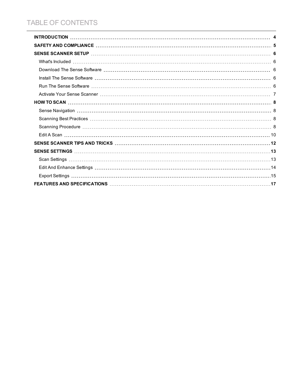## TABLE OF CONTENTS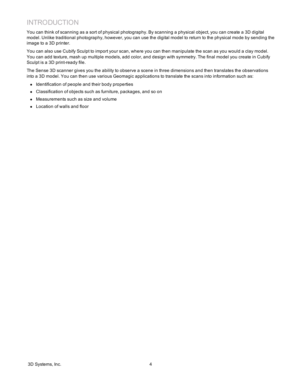## <span id="page-3-0"></span>INTRODUCTION

You can think of scanning as a sort of physical photography. By scanning a physical object, you can create a 3D digital model. Unlike traditional photography, however, you can use the digital model to return to the physical mode by sending the image to a 3D printer.

You can also use Cubify Sculpt to import your scan, where you can then manipulate the scan as you would a clay model. You can add texture, mash up multiple models, add color, and design with symmetry. The final model you create in Cubify Sculpt is a 3D print-ready file.

The Sense 3D scanner gives you the ability to observe a scene in three dimensions and then translates the observations into a 3D model. You can then use various Geomagic applications to translate the scans into information such as:

- Identification of people and their body properties
- Classification of objects such as furniture, packages, and so on
- Measurements such as size and volume
- Location of walls and floor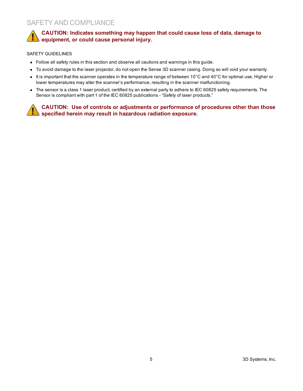### <span id="page-4-0"></span>SAFETY AND COMPLIANCE

**CAUTION: Indicates something may happen that could cause loss of data, damage to equipment, or could cause personal injury.**

#### SAFETY GUIDELINES

- Follow all safety rules in this section and observe all cautions and warnings in this guide.
- To avoid damage to the laser projector, do not open the Sense 3D scanner casing. Doing so will void your warranty.
- It is important that the scanner operates in the temperature range of between 10 $^{\circ}$ C and 40 $^{\circ}$ C for optimal use. Higher or lower temperatures may alter the scanner's performance, resulting in the scanner malfunctioning.
- The sensor is a class 1 laser product, certified by an external party to adhere to IEC 60825 safety requirements. The Sensor is compliant with part 1 of the IEC 60825 publications - "Safety of laser products."

**CAUTION: Use of controls or adjustments or performance of procedures other than those specified herein may result in hazardous radiation exposure.**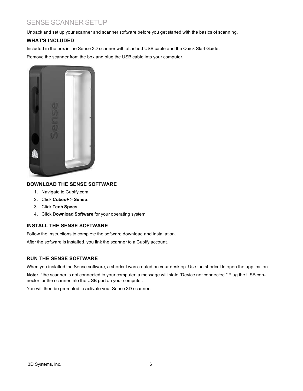## <span id="page-5-0"></span>SENSE SCANNER SETUP

<span id="page-5-1"></span>Unpack and set up your scanner and scanner software before you get started with the basics of scanning.

#### **WHAT'S INCLUDED**

Included in the box is the Sense 3D scanner with attached USB cable and the Quick Start Guide.

Remove the scanner from the box and plug the USB cable into your computer.



#### <span id="page-5-2"></span>**DOWNLOAD THE SENSE SOFTWARE**

- 1. Navigate to Cubify.com.
- 2. Click **Cubes+** > **Sense**.
- 3. Click **Tech Specs**.
- 4. Click **Download Software** for your operating system.

#### <span id="page-5-3"></span>**INSTALL THE SENSE SOFTWARE**

Follow the instructions to complete the software download and installation.

After the software is installed, you link the scanner to a Cubify account.

#### <span id="page-5-4"></span>**RUN THE SENSE SOFTWARE**

When you installed the Sense software, a shortcut was created on your desktop. Use the shortcut to open the application.

**Note:** If the scanner is not connected to your computer, a message will state "Device not connected." Plug the USB connector for the scanner into the USB port on your computer.

You will then be prompted to activate your Sense 3D scanner.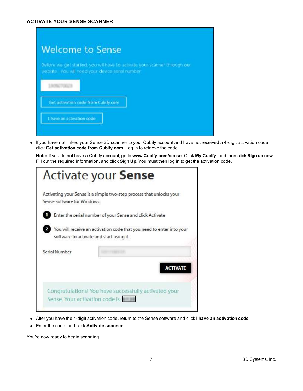<span id="page-6-0"></span>

| <b>Welcome to Sense</b>                                                                                                       |
|-------------------------------------------------------------------------------------------------------------------------------|
| Before we get started, you will have to activate your scanner through our<br>website. You will need your device senal number. |
| <b>LION/TODAY</b>                                                                                                             |
| Get activation code from Cubity.com                                                                                           |
| I have an activation code                                                                                                     |

• If you have not linked your Sense 3D scanner to your Cubify account and have not received a 4-digit activation code, click **Get activation code from Cubify.com**. Log in to retrieve the code.

**Note:** If you do not have a Cubify account, go to **www.Cubify.com/sense**. Click **My Cubify**, and then click **Sign up now**. Fill out the required information, and click **Sign Up**. You must then log in to get the activation code.

| <b>Activate your Sense</b>               |                                                                      |
|------------------------------------------|----------------------------------------------------------------------|
| Sense software for Windows               | Activating your Sense is a simple two-step process that unlocks your |
|                                          | Enter the serial number of your Sense and click Activate             |
| software to activate and start using it. | You will receive an activation code that you need to enter into your |
| Serial Number                            |                                                                      |
|                                          | <b>ACTIVATE</b>                                                      |
| Sense. Your activation code is:          | Congratulations! You have successfully activated your                |

- <sup>l</sup> After you have the 4-digit activation code, return to the Sense software and click **I have an activation code**.
- <sup>l</sup> Enter the code, and click **Activate scanner**.

You're now ready to begin scanning.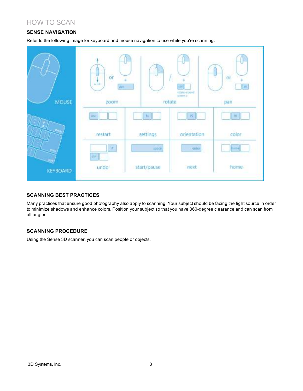## <span id="page-7-1"></span><span id="page-7-0"></span>HOW TO SCAN

#### **SENSE NAVIGATION**

Refer to the following image for keyboard and mouse navigation to use while you're scanning:



#### <span id="page-7-2"></span>**SCANNING BEST PRACTICES**

Many practices that ensure good photography also apply to scanning. Your subject should be facing the light source in order to minimize shadows and enhance colors. Position your subject so that you have 360-degree clearance and can scan from all angles.

#### <span id="page-7-3"></span>**SCANNING PROCEDURE**

Using the Sense 3D scanner, you can scan people or objects.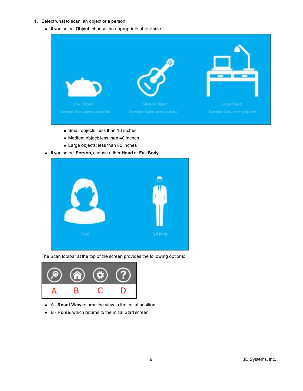- 1. Select what to scan, an object or a person.
	- **.** If you select **Object**, choose the appropriate object size.



- **n** Small objects: less than 16 inches
- Medium object: less than 40 inches
- Large objects: less than 80 inches
- <sup>l</sup> If you select **Person**, choose either **Head** or **Full Body**.







- **.** A **Reset View** returns the view to the initial position
- **.** B **Home**, which returns to the initial Start screen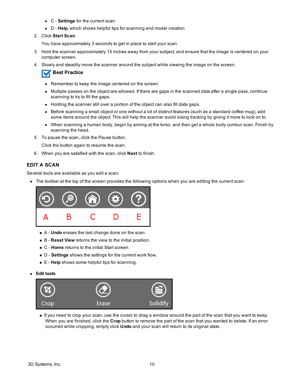- **.** C **Settings** for the current scan
- D **Help**, which shows helpful tips for scanning and model creation
- 2. Click **Start Scan**.

You have approximately 3 seconds to get in place to start your scan.

- 3. Hold the scanner approximately 15 inches away from your subject, and ensure that the image is centered on your computer screen.
- 4. Slowly and steadily move the scanner around the subject while viewing the image on the screen.

#### **Best Practice**

- Remember to keep the image centered on the screen.
- Multiple passes on the object are allowed. If there are gaps in the scanned data after a single pass, continue scanning to try to fill the gaps.
- Holding the scanner still over a portion of the object can also fill data gaps.
- Before scanning a small object or one without a lot of distinct features (such as a standard coffee mug), add some items around the object. This will help the scanner avoid losing tracking by giving it more to lock on to.
- When scanning a human body, begin by aiming at the torso, and then get a whole body contour scan. Finish by scanning the head.
- 5. To pause the scan, click the Pause button.

Click the button again to resume the scan.

6. When you are satisfied with the scan, click **Next** to finish.

#### <span id="page-9-0"></span>**EDIT A SCAN**

Several tools are available as you edit a scan:

• The toolbar at the top of the screen provides the following options when you are editing the current scan:



- <sup>n</sup> A **Undo** erases the last change done on the scan.
- <sup>n</sup> B **Reset View** returns the view to the initial position.
- <sup>n</sup> C **Home** returns to the initial Start screen.
- <sup>n</sup> D **Settings** shows the settings for the current work flow.
- E **Help** shows some helpful tips for scanning.
- <sup>l</sup> **Edit tools**



<sup>n</sup> If you need to crop your scan, use the cursor to drag a window around the part of the scan that you want to keep. When you are finished, click the **Crop** button to remove the part of the scan that you wanted to delete. If an error occurred while cropping, simply click **Undo** and your scan will return to its original state.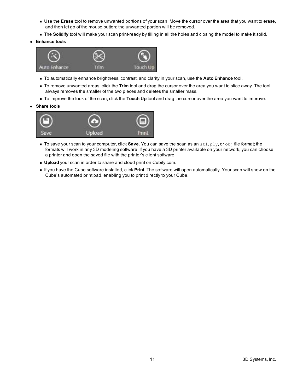- <sup>n</sup> Use the **Erase** tool to remove unwanted portions of your scan. Move the cursor over the area that you want to erase, and then let go of the mouse button; the unwanted portion will be removed.
- **n** The Solidify tool will make your scan print-ready by filling in all the holes and closing the model to make it solid.
- $\bullet$  Enhance **tools**



- <sup>n</sup> To automatically enhance brightness, contrast, and clarity in your scan, use the **Auto Enhance** tool.
- <sup>n</sup> To remove unwanted areas, click the **Trim** tool and drag the cursor over the area you want to slice away. The tool always removes the smaller of the two pieces and deletes the smaller mass.
- <sup>n</sup> To improve the look of the scan, click the **Touch Up** tool and drag the cursor over the area you want to improve.
- <sup>l</sup> **Share tools**



- <sup>n</sup> To save your scan to your computer, click **Save**. You can save the scan as an stl, ply, or obj file format; the formats will work in any 3D modeling software. If you have a 3D printer available on your network, you can choose a printer and open the saved file with the printer's client software.
- **Journal Upload** your scan in order to share and cloud print on Cubify.com.
- <sup>n</sup> If you have the Cube software installed, click **Print**. The software will open automatically. Your scan will show on the Cube's automated print pad, enabling you to print directly to your Cube.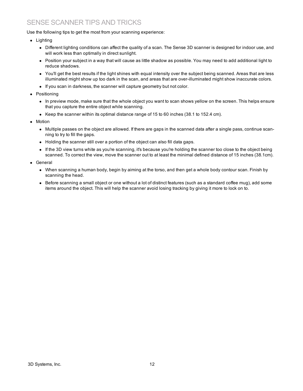## <span id="page-11-0"></span>SENSE SCANNER TIPS AND TRICKS

Use the following tips to get the most from your scanning experience:

- $\bullet$  Lighting
	- Different lighting conditions can affect the quality of a scan. The Sense 3D scanner is designed for indoor use, and will work less than optimally in direct sunlight.
	- Position your subject in a way that will cause as little shadow as possible. You may need to add additional light to reduce shadows.
	- You'll get the best results if the light shines with equal intensity over the subject being scanned. Areas that are less illuminated might show up too dark in the scan, and areas that are over-illuminated might show inaccurate colors.
	- If you scan in darkness, the scanner will capture geometry but not color.
- Positioning
	- In preview mode, make sure that the whole object you want to scan shows yellow on the screen. This helps ensure that you capture the entire object while scanning.
	- Keep the scanner within its optimal distance range of 15 to 60 inches (38.1 to 152.4 cm).
- Motion
	- Multiple passes on the object are allowed. If there are gaps in the scanned data after a single pass, continue scanning to try to fill the gaps.
	- Holding the scanner still over a portion of the object can also fill data gaps.
	- If the 3D view turns white as you're scanning, it's because you're holding the scanner too close to the object being scanned. To correct the view, move the scanner out to at least the minimal defined distance of 15 inches (38.1cm).
- General
	- When scanning a human body, begin by aiming at the torso, and then get a whole body contour scan. Finish by scanning the head.
	- Before scanning a small object or one without a lot of distinct features (such as a standard coffee mug), add some items around the object. This will help the scanner avoid losing tracking by giving it more to lock on to.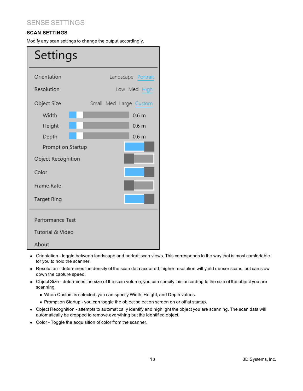## <span id="page-12-0"></span>SENSE SETTINGS

#### <span id="page-12-1"></span>**SCAN SETTINGS**

Modify any scan settings to change the output accordingly.

| Settings           |                        |  |  |
|--------------------|------------------------|--|--|
| Orientation        | Landscape Portrait     |  |  |
| Resolution         | Low Med High           |  |  |
| Object Size        | Small Med Large Custom |  |  |
| Width              | 0.6 <sub>m</sub>       |  |  |
| Height             | 0.6 <sub>m</sub>       |  |  |
| Depth              | 0.6 <sub>m</sub>       |  |  |
| Prompt on Startup  |                        |  |  |
| Object Recognition |                        |  |  |
| Color              |                        |  |  |
| Frame Rate         |                        |  |  |
| Target Ring        |                        |  |  |
| Performance Test   |                        |  |  |
| Tutorial & Video   |                        |  |  |
| About              |                        |  |  |

- Orientation toggle between landscape and portrait scan views. This corresponds to the way that is most comfortable for you to hold the scanner.
- Resolution determines the density of the scan data acquired; higher resolution will yield denser scans, but can slow down the capture speed.
- Object Size determines the size of the scan volume; you can specify this according to the size of the object you are scanning.
	- <sup>n</sup> When Custom is selected, you can specify Width, Height, and Depth values.
	- Prompt on Startup you can toggle the object selection screen on or off at startup.
- Object Recognition attempts to automatically identify and highlight the object you are scanning. The scan data will automatically be cropped to remove everything but the identified object.
- Color Toggle the acquisition of color from the scanner.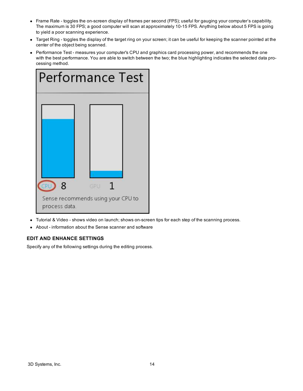- <sup>l</sup> Frame Rate toggles the on-screen display of frames per second (FPS); useful for gauging your computer's capability. The maximum is 30 FPS; a good computer will scan at approximately 10-15 FPS. Anything below about 5 FPS is going to yield a poor scanning experience.
- Target Ring toggles the display of the target ring on your screen; it can be useful for keeping the scanner pointed at the center of the object being scanned.
- Performance Test measures your computer's CPU and graphics card processing power, and recommends the one with the best performance. You are able to switch between the two; the blue highlighting indicates the selected data processing method.

| <b>Performance Test</b> |                                           |  |
|-------------------------|-------------------------------------------|--|
|                         |                                           |  |
|                         |                                           |  |
|                         |                                           |  |
|                         |                                           |  |
| 8<br>process data.      | GPU<br>Sense recommends using your CPU to |  |

- Tutorial & Video shows video on launch; shows on-screen tips for each step of the scanning process.
- <span id="page-13-0"></span>• About - information about the Sense scanner and software

#### **EDIT AND ENHANCE SETTINGS**

Specify any of the following settings during the editing process.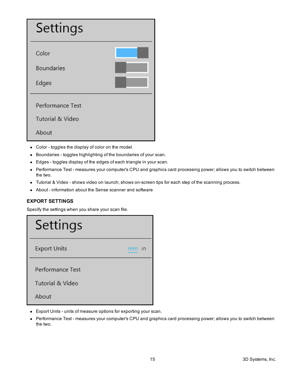| Settings                   |  |
|----------------------------|--|
| Color<br><b>Boundaries</b> |  |
| Edges                      |  |
| Performance Test           |  |
| Tutorial & Video           |  |
| About                      |  |

- Color toggles the display of color on the model.
- Boundaries toggles highlighting of the boundaries of your scan.
- Edges toggles display of the edges of each triangle in your scan.
- Performance Test measures your computer's CPU and graphics card processing power; allows you to switch between the two.
- Tutorial & Video shows video on launch; shows on-screen tips for each step of the scanning process.
- About information about the Sense scanner and software

#### <span id="page-14-0"></span>**EXPORT SETTINGS**

Specify the settings when you share your scan file.



- Export Units units of measure options for exporting your scan.
- Performance Test measures your computer's CPU and graphics card processing power; allows you to switch between the two.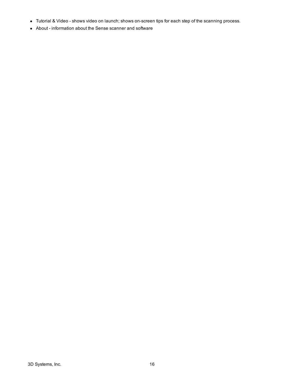- Tutorial & Video shows video on launch; shows on-screen tips for each step of the scanning process.
- About information about the Sense scanner and software